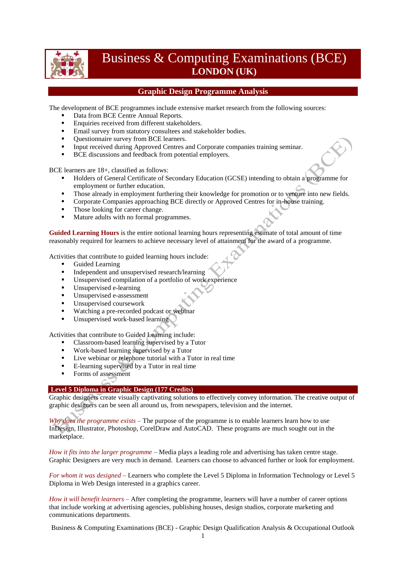

# Business & Computing Examinations (BCE) **LONDON (UK)**

## **Graphic Design Programme Analysis**

The development of BCE programmes include extensive market research from the following sources:

- Data from BCE Centre Annual Reports.
- **Enquiries received from different stakeholders.**
- **Email survey from statutory consultees and stakeholder bodies.**
- Ouestionnaire survey from BCE learners.
- Input received during Approved Centres and Corporate companies training seminar.
- **BCE** discussions and feedback from potential employers.

BCE learners are 18+, classified as follows:

- Holders of General Certificate of Secondary Education (GCSE) intending to obtain a programme for employment or further education.
- Those already in employment furthering their knowledge for promotion or to venture into new fields.
- Corporate Companies approaching BCE directly or Approved Centres for in-house training.
- Those looking for career change.
- Mature adults with no formal programmes.

**Guided Learning Hours** is the entire notional learning hours representing estimate of total amount of time reasonably required for learners to achieve necessary level of attainment for the award of a programme.

Activities that contribute to guided learning hours include:

- Guided Learning
- Independent and unsupervised research/learning<br>Insupervised compilation of a portfolio of work
- Unsupervised compilation of a portfolio of work experience
- **Unsupervised e-learning**
- Unsupervised e-assessment
- Unsupervised coursework
- Watching a pre-recorded podcast or webinar
- Unsupervised work-based learning

Activities that contribute to Guided Learning include:

- Classroom-based learning supervised by a Tutor
- Work-based learning supervised by a Tutor
- Live webinar or telephone tutorial with a Tutor in real time
- E-learning supervised by a Tutor in real time
- Forms of assessment

#### **Level 5 Diploma in Graphic Design (177 Credits)**

Graphic designers create visually captivating solutions to effectively convey information. The creative output of graphic designers can be seen all around us, from newspapers, television and the internet.

*Why does the programme exists* – The purpose of the programme is to enable learners learn how to use InDesign, Illustrator, Photoshop, CorelDraw and AutoCAD. These programs are much sought out in the marketplace.

*How it fits into the larger programme* – Media plays a leading role and advertising has taken centre stage. Graphic Designers are very much in demand. Learners can choose to advanced further or look for employment.

*For whom it was designed* – Learners who complete the Level 5 Diploma in Information Technology or Level 5 Diploma in Web Design interested in a graphics career.

*How it will benefit learners* – After completing the programme, learners will have a number of career options that include working at advertising agencies, publishing houses, design studios, corporate marketing and communications departments.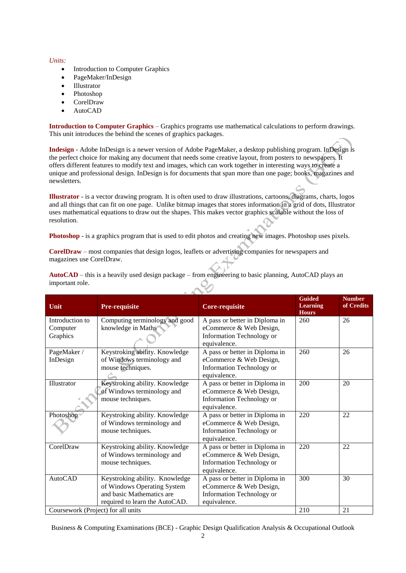#### *Units:*

- Introduction to Computer Graphics
- PageMaker/InDesign
- Illustrator
- Photoshop
- CorelDraw
- AutoCAD

**Introduction to Computer Graphics** – Graphics programs use mathematical calculations to perform drawings. This unit introduces the behind the scenes of graphics packages.

**Indesign** - Adobe InDesign is a newer version of Adobe PageMaker, a desktop publishing program. InDesign is the perfect choice for making any document that needs some creative layout, from posters to newspapers. It offers different features to modify text and images, which can work together in interesting ways to create a unique and professional design. InDesign is for documents that span more than one page; books, magazines and newsletters.

**Illustrator** - is a vector drawing program. It is often used to draw illustrations, cartoons, diagrams, charts, logos and all things that can fit on one page. Unlike bitmap images that stores information in a grid of dots, Illustrator uses mathematical equations to draw out the shapes. This makes vector graphics scalable without the loss of resolution.

**Photoshop** - is a graphics program that is used to edit photos and creating new images. Photoshop uses pixels.

**CorelDraw** – most companies that design logos, leaflets or advertising companies for newspapers and magazines use CorelDraw.

| Unit                               | <b>Pre-requisite</b>           | <b>Core-requisite</b>                     | <b>Guided</b><br><b>Learning</b><br><b>Hours</b> | <b>Number</b><br>of Credits |
|------------------------------------|--------------------------------|-------------------------------------------|--------------------------------------------------|-----------------------------|
| Introduction to                    | Computing terminology and good | A pass or better in Diploma in            | 260                                              | 26                          |
| Computer                           | knowledge in Maths             | eCommerce & Web Design,                   |                                                  |                             |
| Graphics                           |                                | Information Technology or<br>equivalence. |                                                  |                             |
| PageMaker /                        | Keystroking ability. Knowledge | A pass or better in Diploma in            | 260                                              | 26                          |
| InDesign                           | of Windows terminology and     | eCommerce & Web Design,                   |                                                  |                             |
|                                    | mouse techniques.              | Information Technology or<br>equivalence. |                                                  |                             |
| Illustrator                        | Keystroking ability. Knowledge | A pass or better in Diploma in            | 200                                              | 20                          |
|                                    | of Windows terminology and     | eCommerce & Web Design,                   |                                                  |                             |
|                                    | mouse techniques.              | Information Technology or                 |                                                  |                             |
|                                    |                                | equivalence.                              |                                                  |                             |
| Photoshop                          | Keystroking ability. Knowledge | A pass or better in Diploma in            | 220                                              | 22                          |
|                                    | of Windows terminology and     | eCommerce & Web Design,                   |                                                  |                             |
|                                    | mouse techniques.              | Information Technology or                 |                                                  |                             |
|                                    |                                | equivalence.                              |                                                  |                             |
| CorelDraw                          | Keystroking ability. Knowledge | A pass or better in Diploma in            | 220                                              | 22                          |
|                                    | of Windows terminology and     | eCommerce & Web Design,                   |                                                  |                             |
|                                    | mouse techniques.              | Information Technology or<br>equivalence. |                                                  |                             |
| <b>AutoCAD</b>                     | Keystroking ability. Knowledge | A pass or better in Diploma in            | 300                                              | 30                          |
|                                    | of Windows Operating System    | eCommerce & Web Design,                   |                                                  |                             |
|                                    | and basic Mathematics are      | Information Technology or                 |                                                  |                             |
|                                    | required to learn the AutoCAD. | equivalence.                              |                                                  |                             |
| Coursework (Project) for all units |                                |                                           | 210                                              | 21                          |

**AutoCAD** – this is a heavily used design package – from engineering to basic planning, AutoCAD plays an important role.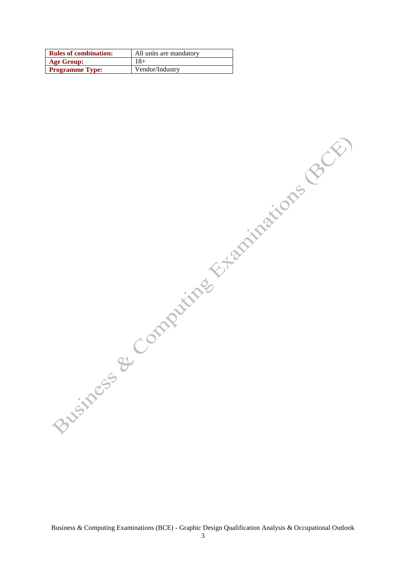| <b>Rules of combination:</b> | All units are mandatory |
|------------------------------|-------------------------|
| <b>Age Group:</b>            | $18+$                   |
| <b>Programme Type:</b>       | Vendor/Industry         |

Business & Completing Et-aminations (BCE)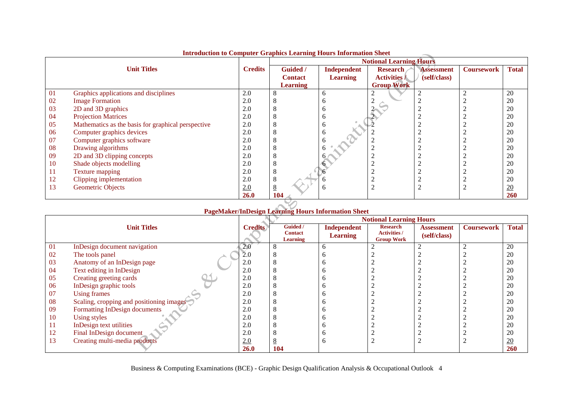|    | $\cdots$                                           |                |                 |                 | <b>Notional Learning Hours</b> |                   |                   |              |
|----|----------------------------------------------------|----------------|-----------------|-----------------|--------------------------------|-------------------|-------------------|--------------|
|    | <b>Unit Titles</b>                                 | <b>Credits</b> | Guided /        | Independent     | <b>Research</b>                | <b>Assessment</b> | <b>Coursework</b> | <b>Total</b> |
|    |                                                    |                | <b>Contact</b>  | <b>Learning</b> | <b>Activities /</b>            | (self/class)      |                   |              |
|    |                                                    |                | <b>Learning</b> |                 | <b>Group Work</b>              |                   |                   |              |
| 01 | Graphics applications and disciplines              | 2.0            | 8               | <sub>0</sub>    |                                |                   |                   | 20           |
| 02 | <b>Image Formation</b>                             | 2.0            | 8               | n               |                                |                   |                   | 20           |
| 03 | 2D and 3D graphics                                 | 2.0            | 8               | n               |                                |                   |                   | 20           |
| 04 | <b>Projection Matrices</b>                         | 2.0            | 8               | <sub>0</sub>    |                                |                   |                   | 20           |
| 05 | Mathematics as the basis for graphical perspective | 2.0            | 8               | O               |                                |                   |                   | 20           |
| 06 | Computer graphics devices                          | 2.0            | 8               | <sub>0</sub>    |                                |                   |                   | 20           |
| 07 | Computer graphics software                         | 2.0            | 8               |                 |                                |                   |                   | 20           |
| 08 | Drawing algorithms                                 | 2.0            | 8               |                 |                                |                   |                   | 20           |
| 09 | 2D and 3D clipping concepts                        | 2.0            | 8               |                 |                                |                   |                   | 20           |
| 10 | Shade objects modelling                            | 2.0            | 8               |                 |                                |                   |                   | 20           |
| 11 | Texture mapping                                    | 2.0            | 8               |                 |                                |                   |                   | 20           |
| 12 | Clipping implementation                            | 2.0            | 8               |                 |                                |                   |                   | 20           |
| 13 | Geometric Objects                                  | 2.0            | 8               | h               | ◠                              |                   |                   | 20           |
|    |                                                    | <b>26.0</b>    | 104             |                 |                                |                   |                   | <b>260</b>   |

### **Introduction to Computer Graphics Learning Hours Information Sheet**

## **PageMaker/InDesign Learning Hours Information Sheet**

|    |                                          |                | <b>Notional Learning Hours</b> |                                       |                                        |                            |                   |                  |  |
|----|------------------------------------------|----------------|--------------------------------|---------------------------------------|----------------------------------------|----------------------------|-------------------|------------------|--|
|    | <b>Unit Titles</b>                       | <b>Credits</b> | Guided /<br><b>Contact</b>     | <b>Independent</b><br><b>Learning</b> | <b>Research</b><br><b>Activities /</b> | Assessment<br>(self/class) | <b>Coursework</b> | <b>Total</b>     |  |
|    |                                          |                | Learning                       |                                       | <b>Group Work</b>                      |                            |                   |                  |  |
| 01 | InDesign document navigation             | 2.0            |                                |                                       |                                        |                            |                   | 20               |  |
| 02 | The tools panel                          | 2.0            |                                |                                       |                                        |                            |                   | 20               |  |
| 03 | Anatomy of an InDesign page              | 2.0            |                                |                                       |                                        |                            |                   | 20               |  |
| 04 | Text editing in InDesign                 | 2.0            |                                |                                       |                                        |                            |                   | 20               |  |
| 05 | Creating greeting cards                  | 2.0            |                                |                                       |                                        |                            |                   | 20               |  |
| 06 | InDesign graphic tools                   | 2.0            |                                |                                       |                                        |                            |                   | 20               |  |
| 07 | <b>Using frames</b>                      | 2.0            |                                |                                       |                                        |                            |                   | 20               |  |
| 08 | Scaling, cropping and positioning images | 2.0            |                                |                                       |                                        |                            |                   | 20               |  |
| 09 | Formatting InDesign documents            | 2.0            |                                |                                       |                                        |                            |                   | 20               |  |
| 10 | Using styles                             | 2.0            |                                |                                       |                                        |                            |                   | 20               |  |
| 11 | InDesign text utilities                  | 2.0            |                                |                                       |                                        |                            |                   | 20               |  |
| 12 | Final InDesign document                  | 2.0            |                                |                                       |                                        |                            |                   | 20               |  |
| 13 | Creating multi-media products            | 2.0            |                                |                                       |                                        |                            |                   | $\underline{20}$ |  |
|    |                                          | <b>26.0</b>    | 104                            |                                       |                                        |                            |                   | 260              |  |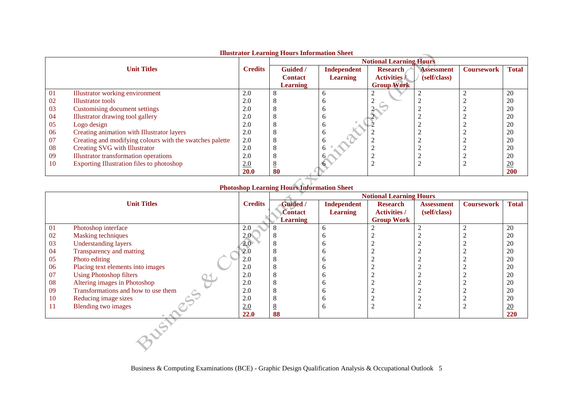|    |                                                          |                | mustrator Learning from s'information blieve |                 |                                |                   |                   |              |
|----|----------------------------------------------------------|----------------|----------------------------------------------|-----------------|--------------------------------|-------------------|-------------------|--------------|
|    |                                                          |                |                                              |                 | <b>Notional Learning Hours</b> |                   |                   |              |
|    | <b>Unit Titles</b>                                       | <b>Credits</b> | <b>Guided</b> /                              | Independent     | <b>Research</b>                | <b>Assessment</b> | <b>Coursework</b> | <b>Total</b> |
|    |                                                          |                | <b>Contact</b>                               | <b>Learning</b> | <b>Activities</b> /            | (self/class)      |                   |              |
|    |                                                          |                | <b>Learning</b>                              |                 | <b>Group Work</b>              |                   |                   |              |
| 01 | Illustrator working environment                          | 2.0            |                                              |                 |                                |                   |                   | 20           |
| 02 | Illustrator tools                                        | 2.0            |                                              |                 |                                |                   |                   | 20           |
| 03 | Customising document settings                            | 2.0            |                                              |                 |                                |                   |                   | 20           |
| 04 | Illustrator drawing tool gallery                         | 2.0            |                                              |                 |                                |                   |                   | 20           |
| 05 | Logo design                                              | 2.0            |                                              |                 |                                |                   |                   | 20           |
| 06 | Creating animation with Illustrator layers               | 2.0            |                                              |                 |                                |                   |                   | 20           |
| 07 | Creating and modifying colours with the swatches palette | 2.0            |                                              |                 |                                |                   |                   | 20           |
| 08 | Creating SVG with Illustrator                            | 2.0            |                                              |                 |                                |                   |                   | 20           |
| 09 | Illustrator transformation operations                    | 2.0            |                                              |                 |                                |                   |                   | 20           |
| 10 | Exporting Illustration files to photoshop                | 2.0            |                                              |                 |                                |                   |                   | 20           |
|    |                                                          | <b>20.0</b>    | 80                                           |                 |                                |                   |                   | <b>200</b>   |

#### **Illustrator Learning Hours Information Sheet**

## **Photoshop Learning Hours Information Sheet**

|           |                                     |                  | <b>Notional Learning Hours</b> |                    |                     |                   |                   |                  |  |  |
|-----------|-------------------------------------|------------------|--------------------------------|--------------------|---------------------|-------------------|-------------------|------------------|--|--|
|           | <b>Unit Titles</b>                  | <b>Credits</b>   | Guided /                       | <b>Independent</b> | <b>Research</b>     | <b>Assessment</b> | <b>Coursework</b> | <b>Total</b>     |  |  |
|           |                                     |                  | Contact                        | <b>Learning</b>    | <b>Activities /</b> | (self/class)      |                   |                  |  |  |
|           |                                     |                  | <b>Learning</b>                |                    | <b>Group Work</b>   |                   |                   |                  |  |  |
| 01        | Photoshop interface                 | 2.0              |                                | 6                  | 2                   |                   | 2                 | 20               |  |  |
| 02        | <b>Masking techniques</b>           | 2.0              |                                | h                  |                     |                   |                   | 20               |  |  |
| 03        | <b>Understanding layers</b>         | 2.0 <sub>1</sub> |                                | n                  |                     |                   |                   | 20               |  |  |
| 04        | Transparency and matting            | 2.0              |                                |                    |                     |                   |                   | 20               |  |  |
| 05        | Photo editing                       | 2.0              |                                |                    |                     |                   |                   | 20               |  |  |
| 06        | Placing text elements into images   | 2.0              |                                |                    |                     |                   |                   | 20               |  |  |
| 07        | <b>Using Photoshop filters</b>      | 2.0              |                                | n                  |                     |                   |                   | 20               |  |  |
| 08        | Altering images in Photoshop        | 2.0              |                                |                    |                     |                   |                   | 20               |  |  |
| 09        | Transformations and how to use them | 2.0              |                                |                    |                     |                   |                   | 20               |  |  |
| <b>10</b> | Reducing image sizes                | 2.0              |                                | n                  |                     |                   |                   | 20               |  |  |
| -11       | Blending two images                 | 2.0              |                                | <sub>6</sub>       | ∠                   |                   | $\overline{c}$    | $\underline{20}$ |  |  |
|           |                                     | 22.0             | 88                             |                    |                     |                   |                   | 220              |  |  |
|           |                                     |                  |                                |                    |                     |                   |                   |                  |  |  |
|           |                                     |                  |                                |                    |                     |                   |                   |                  |  |  |
|           |                                     |                  |                                |                    |                     |                   |                   |                  |  |  |
|           |                                     |                  |                                |                    |                     |                   |                   |                  |  |  |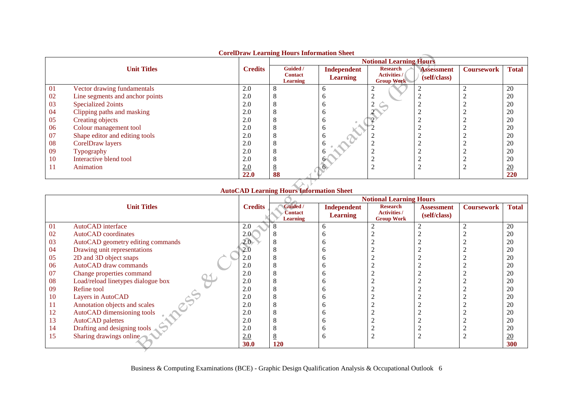|    |                                 |                | Cortibran Learning Hours Information Sheet    |                                | <b>Notional Learning Hours</b>                              |                                   |                   |              |
|----|---------------------------------|----------------|-----------------------------------------------|--------------------------------|-------------------------------------------------------------|-----------------------------------|-------------------|--------------|
|    | <b>Unit Titles</b>              | <b>Credits</b> | Guided /<br><b>Contact</b><br><b>Learning</b> | Independent<br><b>Learning</b> | <b>Research</b><br><b>Activities /</b><br><b>Group Work</b> | <b>Assessment</b><br>(self/class) | <b>Coursework</b> | <b>Total</b> |
| 01 | Vector drawing fundamentals     | 2.0            |                                               | n                              |                                                             |                                   |                   | 20           |
| 02 | Line segments and anchor points | 2.0            |                                               |                                |                                                             |                                   |                   | 20           |
| 03 | Specialized 2oints              | 2.0            |                                               | n                              |                                                             |                                   |                   | 20           |
| 04 | Clipping paths and masking      | 2.0            |                                               |                                |                                                             |                                   |                   | 20           |
| 05 | Creating objects                | 2.0            |                                               |                                |                                                             |                                   |                   | 20           |
| 06 | Colour management tool          | 2.0            |                                               | o                              |                                                             |                                   |                   | 20           |
| 07 | Shape editor and editing tools  | 2.0            |                                               | Ð                              |                                                             |                                   |                   | 20           |
| 08 | CorelDraw layers                | 2.0            |                                               |                                |                                                             |                                   |                   | 20           |
| 09 | Typography                      | 2.0            |                                               |                                |                                                             |                                   |                   | 20           |
| 10 | Interactive blend tool          | 2.0            |                                               |                                |                                                             |                                   |                   | 20           |
| 11 | Animation                       | 2.0            |                                               |                                |                                                             |                                   |                   | 20           |
|    |                                 | 22.0           | 88                                            |                                |                                                             |                                   |                   | 220          |

#### **CorelDraw Learning Hours Information Sheet**

## **AutoCAD Learning Hours Information Sheet**

 $\mathbf{h}$ 

|    |                                    |                |                            |                                       | <b>Notional Learning Hours</b>         |                                   |                   |              |
|----|------------------------------------|----------------|----------------------------|---------------------------------------|----------------------------------------|-----------------------------------|-------------------|--------------|
|    | <b>Unit Titles</b>                 | <b>Credits</b> | Guided /<br><b>Contact</b> | <b>Independent</b><br><b>Learning</b> | <b>Research</b><br><b>Activities /</b> | <b>Assessment</b><br>(self/class) | <b>Coursework</b> | <b>Total</b> |
|    |                                    |                | Learning                   |                                       | <b>Group Work</b>                      |                                   |                   |              |
| 01 | AutoCAD interface                  | 2.0            |                            |                                       |                                        |                                   |                   | 20           |
| 02 | AutoCAD coordinates                | 2.0<           |                            |                                       |                                        |                                   |                   | 20           |
| 03 | AutoCAD geometry editing commands  | $2.0 -$        | Ō                          |                                       |                                        |                                   |                   | 20           |
| 04 | Drawing unit representations       | 2.0            | $\Omega$                   |                                       |                                        |                                   |                   | 20           |
| 05 | 2D and 3D object snaps             | 2.0            | $\Omega$                   |                                       |                                        |                                   |                   | 20           |
| 06 | AutoCAD draw commands              | 2.0            | $\Omega$                   |                                       |                                        |                                   |                   | 20           |
| 07 | Change properties command          | 2.0            |                            |                                       |                                        |                                   |                   | 20           |
| 08 | Load/reload linetypes dialogue box | 2.0            |                            |                                       |                                        |                                   |                   | 20           |
| 09 | Refine tool                        | 2.0            |                            |                                       |                                        |                                   |                   | 20           |
| 10 | Layers in AutoCAD                  | 2.0            |                            |                                       |                                        |                                   |                   | 20           |
| 11 | Annotation objects and scales      | 2.0            | $\Delta$                   |                                       |                                        |                                   |                   | 20           |
| 12 | AutoCAD dimensioning tools         | 2.0            | $\Delta$                   |                                       |                                        |                                   |                   | 20           |
| 13 | AutoCAD palettes                   | 2.0            |                            |                                       |                                        |                                   |                   | 20           |
| 14 | Drafting and designing tools       | 2.0            |                            |                                       |                                        |                                   |                   | 20           |
| 15 | Sharing drawings online            | 2.0            | <u>୦</u>                   |                                       |                                        |                                   |                   | 20           |
|    |                                    | <b>30.0</b>    | 120                        |                                       |                                        |                                   |                   | 300          |
|    |                                    |                |                            |                                       |                                        |                                   |                   |              |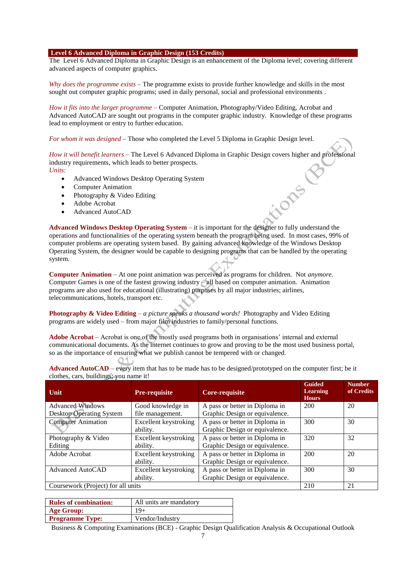#### **Level 6 Advanced Diploma in Graphic Design (153 Credits)**

The Level 6 Advanced Diploma in Graphic Design is an enhancement of the Diploma level; covering different advanced aspects of computer graphics.

*Why does the programme exists* – The programme exists to provide further knowledge and skills in the most sought out computer graphic programs; used in daily personal, social and professional environments .

*How it fits into the larger programme* – Computer Animation, Photography/Video Editing, Acrobat and Advanced AutoCAD are sought out programs in the computer graphic industry. Knowledge of these programs lead to employment or entry to further education.

*For whom it was designed* – Those who completed the Level 5 Diploma in Graphic Design level.

*How it will benefit learners* – The Level 6 Advanced Diploma in Graphic Design covers higher and professional industry requirements, which leads to better prospects. *Units:*

ilons

- Advanced Windows Desktop Operating System
- Computer Animation
- Photography & Video Editing
- Adobe Acrobat
- Advanced AutoCAD

**Advanced Windows Desktop Operating System** – it is important for the designer to fully understand the operations and functionalities of the operating system beneath the program being used. In most cases, 99% of computer problems are operating system based. By gaining advanced knowledge of the Windows Desktop Operating System, the designer would be capable to designing programs that can be handled by the operating system.

**Computer Animation** – At one point animation was perceived as programs for children. Not *anymore*. Computer Games is one of the fastest growing industry – all based on computer animation. Animation programs are also used for educational (illustrating) purposes by all major industries; airlines, telecommunications, hotels, transport etc.

**Photography & Video Editing** – *a picture speaks a thousand words!* Photography and Video Editing programs are widely used – from major film industries to family/personal functions.

**Adobe Acrobat** – Acrobat is one of the mostly used programs both in organisations' internal and external communicational documents. As the internet continues to grow and proving to be the most used business portal, so as the importance of ensuring what we publish cannot be tempered with or changed.

| $\alpha$ . $\alpha$ $\beta$ , $\beta$ $\alpha$ $\beta$ , $\beta$ , $\beta$ $\alpha$ $\beta$ $\alpha$ $\beta$ . |                       |                                |                                                  |                             |
|----------------------------------------------------------------------------------------------------------------|-----------------------|--------------------------------|--------------------------------------------------|-----------------------------|
| Unit                                                                                                           | <b>Pre-requisite</b>  | <b>Core-requisite</b>          | <b>Guided</b><br><b>Learning</b><br><b>Hours</b> | <b>Number</b><br>of Credits |
| <b>Advanced Windows</b>                                                                                        | Good knowledge in     | A pass or better in Diploma in | 200                                              | 20                          |
| Desktop Operating System                                                                                       | file management.      | Graphic Design or equivalence. |                                                  |                             |
| <b>Computer Animation</b>                                                                                      | Excellent keystroking | A pass or better in Diploma in | 300                                              | 30                          |
|                                                                                                                | ability.              | Graphic Design or equivalence. |                                                  |                             |
| Photography & Video                                                                                            | Excellent keystroking | A pass or better in Diploma in | 320                                              | 32                          |
| Editing                                                                                                        | ability.              | Graphic Design or equivalence. |                                                  |                             |
| Adobe Acrobat                                                                                                  | Excellent keystroking | A pass or better in Diploma in | 200                                              | 20                          |
|                                                                                                                | ability.              | Graphic Design or equivalence. |                                                  |                             |
| <b>Advanced AutoCAD</b>                                                                                        | Excellent keystroking | A pass or better in Diploma in | 300                                              | 30                          |
|                                                                                                                | ability.              | Graphic Design or equivalence. |                                                  |                             |
| Coursework (Project) for all units                                                                             |                       |                                | 210                                              | 21                          |

**Advanced AutoCAD** – every item that has to be made has to be designed/prototyped on the computer first; be it clothes, cars, buildings; you name it!

| <b>Rules of combination:</b> | All units are mandatory |
|------------------------------|-------------------------|
| <b>Age Group:</b>            | 19+                     |
| <b>Programme Type:</b>       | Vendor/Industry         |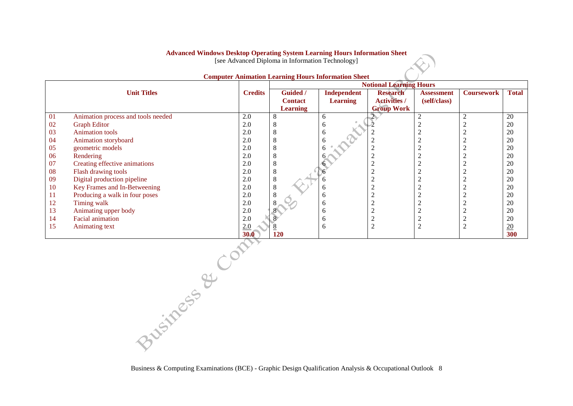## **Advanced Windows Desktop Operating System Learning Hours Information Sheet**

[see Advanced Diploma in Information Technology]

|     |                                    |                |                 | <b>Notional Learning Hours</b> |                     |                   |                   |                  |  |  |
|-----|------------------------------------|----------------|-----------------|--------------------------------|---------------------|-------------------|-------------------|------------------|--|--|
|     | <b>Unit Titles</b>                 | <b>Credits</b> | Guided /        | Independent                    | <b>Research</b>     | <b>Assessment</b> | <b>Coursework</b> | <b>Total</b>     |  |  |
|     |                                    |                | <b>Contact</b>  | <b>Learning</b>                | <b>Activities /</b> | (self/class)      |                   |                  |  |  |
|     |                                    |                | <b>Learning</b> |                                | <b>Group Work</b>   |                   |                   |                  |  |  |
| 01  | Animation process and tools needed | 2.0            | 8               | 6                              |                     | $\sim$            |                   | 20               |  |  |
| 02  | <b>Graph Editor</b>                | 2.0            | 8               | <sub>0</sub>                   |                     |                   |                   | 20               |  |  |
| 03  | <b>Animation tools</b>             | 2.0            | 8               | O                              |                     |                   |                   | 20               |  |  |
| 04  | Animation storyboard               | 2.0            | 8               |                                |                     |                   |                   | 20               |  |  |
| 05  | geometric models                   | 2.0            | 8               |                                | ◠                   |                   |                   | 20               |  |  |
| 06  | Rendering                          | 2.0            | 8               |                                |                     |                   |                   | 20               |  |  |
| 07  | Creating effective animations      | 2.0            | 8               |                                | ◠<br>∠              |                   |                   | 20               |  |  |
| 08  | Flash drawing tools                | 2.0            | 8               |                                | $\overline{2}$      |                   |                   | 20               |  |  |
| 09  | Digital production pipeline        | 2.0            | $\,8\,$         |                                |                     |                   |                   | 20               |  |  |
| 10  | Key Frames and In-Betweening       | 2.0            | 8               | <sub>0</sub>                   | ∠                   |                   |                   | 20               |  |  |
| -11 | Producing a walk in four poses     | 2.0            | 8               | <sub>0</sub>                   | $\overline{2}$      |                   |                   | 20               |  |  |
| 12  | Timing walk                        | 2.0            | 8               | <sub>b</sub>                   | ◠<br>∠              |                   |                   | 20               |  |  |
| 13  | Animating upper body               | 2.0            |                 | <sub>0</sub>                   | ◠                   |                   |                   | 20               |  |  |
| 14  | <b>Facial animation</b>            | 2.0            |                 | O                              | ◠<br>∠              |                   |                   | 20               |  |  |
| 15  | Animating text                     | 2.0            |                 | 6                              | $\overline{2}$      |                   |                   | $\underline{20}$ |  |  |
|     |                                    | 30.0           | 120             |                                |                     |                   |                   | 300              |  |  |

#### **Computer Animation Learning Hours Information Sheet**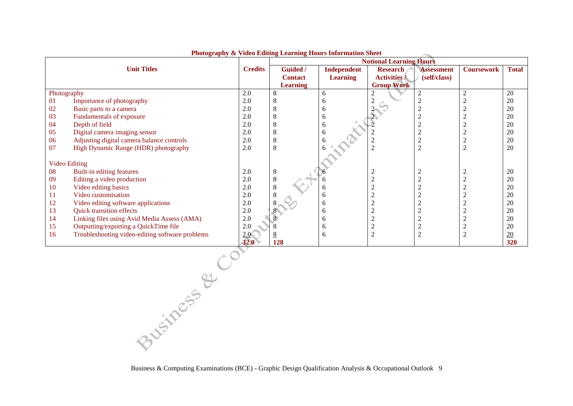|             |                                                 |                | <b>Notional Learning Hours</b> |                 |                     |                   |                   |                 |
|-------------|-------------------------------------------------|----------------|--------------------------------|-----------------|---------------------|-------------------|-------------------|-----------------|
|             | <b>Unit Titles</b>                              | <b>Credits</b> | Guided /                       | Independent     | <b>Research</b>     | <b>Assessment</b> | <b>Coursework</b> | <b>Total</b>    |
|             |                                                 |                | <b>Contact</b>                 | <b>Learning</b> | <b>Activities /</b> | (self/class)      |                   |                 |
|             |                                                 |                | Learning                       |                 | <b>Group Work</b>   |                   |                   |                 |
| Photography |                                                 | 2.0            |                                | 6               | 2                   |                   | ∠                 | 20              |
| 01          | Importance of photography                       | 2.0            |                                | h               |                     |                   |                   | 20              |
| 02          | Basic parts to a camera                         | 2.0            |                                |                 |                     |                   |                   | 20              |
| 03          | Fundamentals of exposure                        | 2.0            |                                | h               |                     |                   |                   | 20              |
| 04          | Depth of field                                  | 2.0            |                                | 6               |                     |                   |                   | 20              |
| 05          | Digital camera imaging sensor                   | 2.0            |                                |                 |                     | $\overline{2}$    |                   | 20              |
| 06          | Adjusting digital camera balance controls       | 2.0            |                                |                 |                     | $\overline{2}$    |                   | 20              |
| 07          | High Dynamic Range (HDR) photography            | 2.0            | 8                              |                 |                     | $\overline{2}$    | ◠                 | 20              |
|             |                                                 |                |                                |                 |                     |                   |                   |                 |
|             | <b>Video Editing</b>                            |                |                                |                 |                     |                   |                   |                 |
| 08          | Built-in editing features                       | 2.0            | 8                              |                 | $\overline{2}$      |                   |                   | 20              |
| 09          | Editing a video production                      | 2.0            | 8                              |                 |                     | ◠                 |                   | 20              |
| 10          | Video editing basics                            | 2.0            |                                | h               |                     | ◠                 |                   | 20              |
| 11          | Video customisation                             | 2.0            |                                | h               |                     |                   |                   | 20              |
| 12          | Video editing software applications             | 2.0            |                                | 6               |                     |                   |                   | 20              |
| 13          | <b>Quick transition effects</b>                 | 2.0            |                                | 6               |                     |                   |                   | 20              |
| 14          | Linking files using Avid Media Assess (AMA)     | 2.0            |                                | 6               |                     | ◠                 |                   | 20              |
| 15          | Outputting/exporting a QuickTime file           | 2.0            |                                | 6               |                     | ◠<br>∠            |                   | 20              |
| 16          | Troubleshooting video-editing software problems | 2.0            |                                | 6               | $\overline{2}$      | $\overline{c}$    | $\overline{c}$    | $\overline{20}$ |
|             |                                                 | 32.0           | 128                            |                 |                     |                   |                   | 320             |
|             |                                                 |                |                                |                 |                     |                   |                   |                 |

#### **Photography & Video Editing Learning Hours Information Sheet**